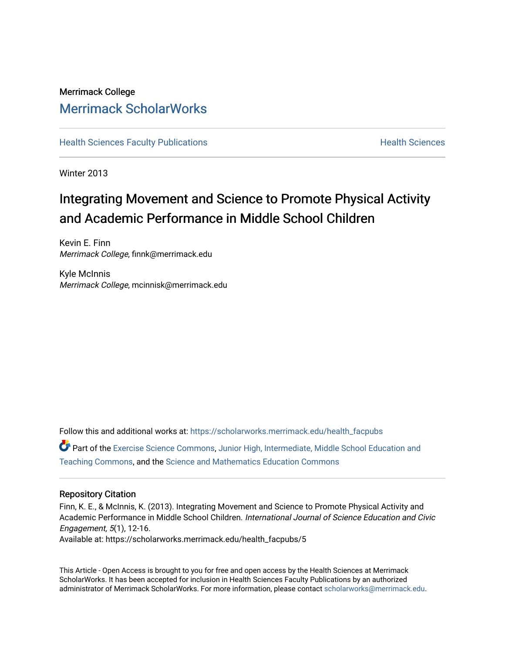# Merrimack College [Merrimack ScholarWorks](https://scholarworks.merrimack.edu/)

**[Health Sciences Faculty Publications](https://scholarworks.merrimack.edu/health_facpubs) Mealth Sciences Health Sciences** Health Sciences

Winter 2013

# Integrating Movement and Science to Promote Physical Activity and Academic Performance in Middle School Children

Kevin E. Finn Merrimack College, finnk@merrimack.edu

Kyle McInnis Merrimack College, mcinnisk@merrimack.edu

Follow this and additional works at: [https://scholarworks.merrimack.edu/health\\_facpubs](https://scholarworks.merrimack.edu/health_facpubs?utm_source=scholarworks.merrimack.edu%2Fhealth_facpubs%2F5&utm_medium=PDF&utm_campaign=PDFCoverPages) 

Part of the [Exercise Science Commons](http://network.bepress.com/hgg/discipline/1091?utm_source=scholarworks.merrimack.edu%2Fhealth_facpubs%2F5&utm_medium=PDF&utm_campaign=PDFCoverPages), [Junior High, Intermediate, Middle School Education and](http://network.bepress.com/hgg/discipline/807?utm_source=scholarworks.merrimack.edu%2Fhealth_facpubs%2F5&utm_medium=PDF&utm_campaign=PDFCoverPages) [Teaching Commons](http://network.bepress.com/hgg/discipline/807?utm_source=scholarworks.merrimack.edu%2Fhealth_facpubs%2F5&utm_medium=PDF&utm_campaign=PDFCoverPages), and the [Science and Mathematics Education Commons](http://network.bepress.com/hgg/discipline/800?utm_source=scholarworks.merrimack.edu%2Fhealth_facpubs%2F5&utm_medium=PDF&utm_campaign=PDFCoverPages) 

#### Repository Citation

Finn, K. E., & McInnis, K. (2013). Integrating Movement and Science to Promote Physical Activity and Academic Performance in Middle School Children. International Journal of Science Education and Civic Engagement, 5(1), 12-16. Available at: https://scholarworks.merrimack.edu/health\_facpubs/5

This Article - Open Access is brought to you for free and open access by the Health Sciences at Merrimack ScholarWorks. It has been accepted for inclusion in Health Sciences Faculty Publications by an authorized administrator of Merrimack ScholarWorks. For more information, please contact [scholarworks@merrimack.edu](mailto:scholarworks@merrimack.edu).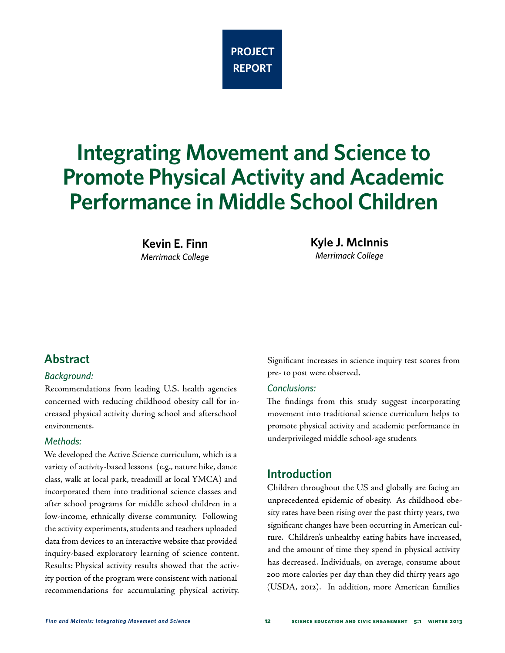

# **Integrating Movement and Science to Promote Physical Activity and Academic Performance in Middle School Children**

**Kevin E. Finn** *Merrimack College* **Kyle J. McInnis** *Merrimack College*

## **Abstract**

#### *Background:*

Recommendations from leading U.S. health agencies concerned with reducing childhood obesity call for increased physical activity during school and afterschool environments.

#### *Methods:*

We developed the Active Science curriculum, which is a variety of activity-based lessons (e.g., nature hike, dance class, walk at local park, treadmill at local YMCA) and incorporated them into traditional science classes and after school programs for middle school children in a low-income, ethnically diverse community. Following the activity experiments, students and teachers uploaded data from devices to an interactive website that provided inquiry-based exploratory learning of science content. Results: Physical activity results showed that the activity portion of the program were consistent with national recommendations for accumulating physical activity. Significant increases in science inquiry test scores from pre- to post were observed.

#### *Conclusions:*

The findings from this study suggest incorporating movement into traditional science curriculum helps to promote physical activity and academic performance in underprivileged middle school-age students

#### **Introduction**

Children throughout the US and globally are facing an unprecedented epidemic of obesity. As childhood obesity rates have been rising over the past thirty years, two significant changes have been occurring in American culture. Children's unhealthy eating habits have increased, and the amount of time they spend in physical activity has decreased. Individuals, on average, consume about 200 more calories per day than they did thirty years ago (USDA, 2012). In addition, more American families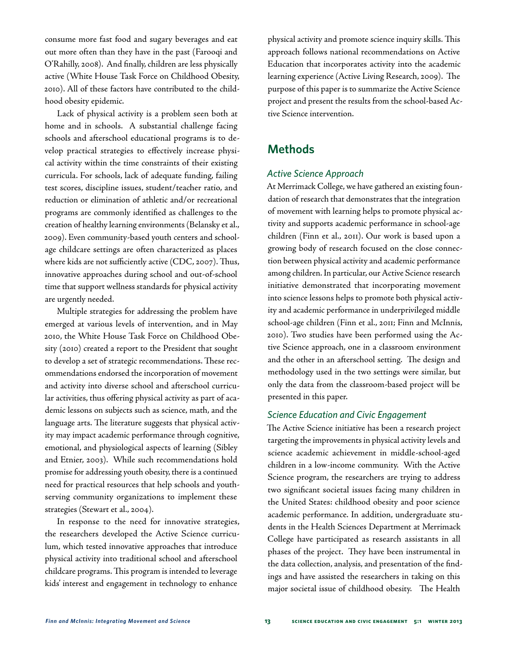consume more fast food and sugary beverages and eat out more often than they have in the past (Farooqi and O'Rahilly, 2008). And finally, children are less physically active (White House Task Force on Childhood Obesity, 2010). All of these factors have contributed to the childhood obesity epidemic.

Lack of physical activity is a problem seen both at home and in schools. A substantial challenge facing schools and afterschool educational programs is to develop practical strategies to effectively increase physical activity within the time constraints of their existing curricula. For schools, lack of adequate funding, failing test scores, discipline issues, student/teacher ratio, and reduction or elimination of athletic and/or recreational programs are commonly identified as challenges to the creation of healthy learning environments (Belansky et al., 2009). Even community-based youth centers and schoolage childcare settings are often characterized as places where kids are not sufficiently active (CDC, 2007). Thus, innovative approaches during school and out-of-school time that support wellness standards for physical activity are urgently needed.

Multiple strategies for addressing the problem have emerged at various levels of intervention, and in May 2010, the White House Task Force on Childhood Obesity (2010) created a report to the President that sought to develop a set of strategic recommendations. These recommendations endorsed the incorporation of movement and activity into diverse school and afterschool curricular activities, thus offering physical activity as part of academic lessons on subjects such as science, math, and the language arts. The literature suggests that physical activity may impact academic performance through cognitive, emotional, and physiological aspects of learning (Sibley and Etnier, 2003). While such recommendations hold promise for addressing youth obesity, there is a continued need for practical resources that help schools and youthserving community organizations to implement these strategies (Stewart et al., 2004).

In response to the need for innovative strategies, the researchers developed the Active Science curriculum, which tested innovative approaches that introduce physical activity into traditional school and afterschool childcare programs. This program is intended to leverage kids' interest and engagement in technology to enhance

physical activity and promote science inquiry skills. This approach follows national recommendations on Active Education that incorporates activity into the academic learning experience (Active Living Research, 2009). The purpose of this paper is to summarize the Active Science project and present the results from the school-based Active Science intervention.

# **Methods**

#### *Active Science Approach*

At Merrimack College, we have gathered an existing foundation of research that demonstrates that the integration of movement with learning helps to promote physical activity and supports academic performance in school-age children (Finn et al., 2011). Our work is based upon a growing body of research focused on the close connection between physical activity and academic performance among children. In particular, our Active Science research initiative demonstrated that incorporating movement into science lessons helps to promote both physical activity and academic performance in underprivileged middle school-age children (Finn et al., 2011; Finn and McInnis, 2010). Two studies have been performed using the Active Science approach, one in a classroom environment and the other in an afterschool setting. The design and methodology used in the two settings were similar, but only the data from the classroom-based project will be presented in this paper.

#### *Science Education and Civic Engagement*

The Active Science initiative has been a research project targeting the improvements in physical activity levels and science academic achievement in middle-school-aged children in a low-income community. With the Active Science program, the researchers are trying to address two significant societal issues facing many children in the United States: childhood obesity and poor science academic performance. In addition, undergraduate students in the Health Sciences Department at Merrimack College have participated as research assistants in all phases of the project. They have been instrumental in the data collection, analysis, and presentation of the findings and have assisted the researchers in taking on this major societal issue of childhood obesity. The Health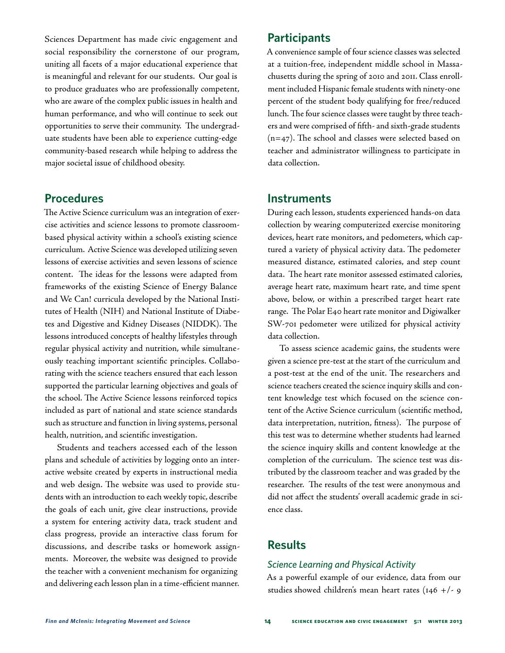Sciences Department has made civic engagement and social responsibility the cornerstone of our program, uniting all facets of a major educational experience that is meaningful and relevant for our students. Our goal is to produce graduates who are professionally competent, who are aware of the complex public issues in health and human performance, and who will continue to seek out opportunities to serve their community. The undergraduate students have been able to experience cutting-edge community-based research while helping to address the major societal issue of childhood obesity.

#### **Procedures**

The Active Science curriculum was an integration of exercise activities and science lessons to promote classroombased physical activity within a school's existing science curriculum. Active Science was developed utilizing seven lessons of exercise activities and seven lessons of science content. The ideas for the lessons were adapted from frameworks of the existing Science of Energy Balance and We Can! curricula developed by the National Institutes of Health (NIH) and National Institute of Diabetes and Digestive and Kidney Diseases (NIDDK). The lessons introduced concepts of healthy lifestyles through regular physical activity and nutrition, while simultaneously teaching important scientific principles. Collaborating with the science teachers ensured that each lesson supported the particular learning objectives and goals of the school. The Active Science lessons reinforced topics included as part of national and state science standards such as structure and function in living systems, personal health, nutrition, and scientific investigation.

Students and teachers accessed each of the lesson plans and schedule of activities by logging onto an interactive website created by experts in instructional media and web design. The website was used to provide students with an introduction to each weekly topic, describe the goals of each unit, give clear instructions, provide a system for entering activity data, track student and class progress, provide an interactive class forum for discussions, and describe tasks or homework assignments. Moreover, the website was designed to provide the teacher with a convenient mechanism for organizing and delivering each lesson plan in a time-efficient manner.

#### **Participants**

A convenience sample of four science classes was selected at a tuition-free, independent middle school in Massachusetts during the spring of 2010 and 2011. Class enrollment included Hispanic female students with ninety-one percent of the student body qualifying for free/reduced lunch. The four science classes were taught by three teachers and were comprised of fifth- and sixth-grade students  $(n=47)$ . The school and classes were selected based on teacher and administrator willingness to participate in data collection.

#### **Instruments**

During each lesson, students experienced hands-on data collection by wearing computerized exercise monitoring devices, heart rate monitors, and pedometers, which captured a variety of physical activity data. The pedometer measured distance, estimated calories, and step count data. The heart rate monitor assessed estimated calories, average heart rate, maximum heart rate, and time spent above, below, or within a prescribed target heart rate range. The Polar E40 heart rate monitor and Digiwalker SW-701 pedometer were utilized for physical activity data collection.

To assess science academic gains, the students were given a science pre-test at the start of the curriculum and a post-test at the end of the unit. The researchers and science teachers created the science inquiry skills and content knowledge test which focused on the science content of the Active Science curriculum (scientific method, data interpretation, nutrition, fitness). The purpose of this test was to determine whether students had learned the science inquiry skills and content knowledge at the completion of the curriculum. The science test was distributed by the classroom teacher and was graded by the researcher. The results of the test were anonymous and did not affect the students' overall academic grade in science class.

## **Results**

#### *Science Learning and Physical Activity*

As a powerful example of our evidence, data from our studies showed children's mean heart rates (146 +/- 9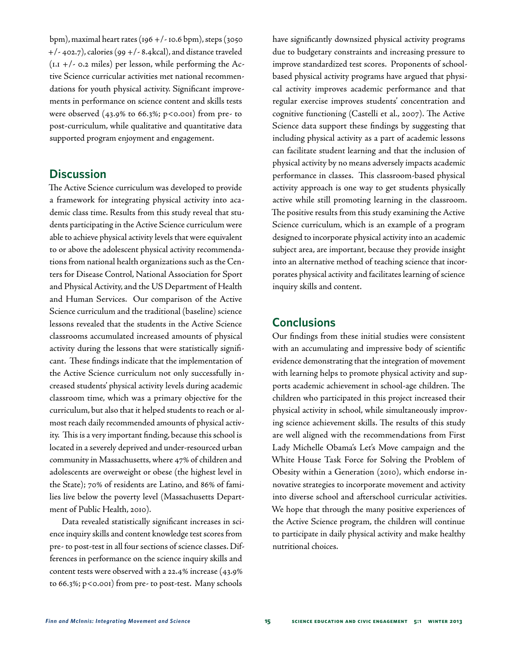bpm), maximal heart rates (196 +/- 10.6 bpm), steps (3050 +/- 402.7), calories (99 +/- 8.4kcal), and distance traveled  $(LI + / - 0.2 \text{ miles})$  per lesson, while performing the Active Science curricular activities met national recommendations for youth physical activity. Significant improvements in performance on science content and skills tests were observed  $(43.9% \text{ to } 66.3\%; \text{ p} < 0.001)$  from pre- to post-curriculum, while qualitative and quantitative data supported program enjoyment and engagement.

#### **Discussion**

The Active Science curriculum was developed to provide a framework for integrating physical activity into academic class time. Results from this study reveal that students participating in the Active Science curriculum were able to achieve physical activity levels that were equivalent to or above the adolescent physical activity recommendations from national health organizations such as the Centers for Disease Control, National Association for Sport and Physical Activity, and the US Department of Health and Human Services. Our comparison of the Active Science curriculum and the traditional (baseline) science lessons revealed that the students in the Active Science classrooms accumulated increased amounts of physical activity during the lessons that were statistically significant. These findings indicate that the implementation of the Active Science curriculum not only successfully increased students' physical activity levels during academic classroom time, which was a primary objective for the curriculum, but also that it helped students to reach or almost reach daily recommended amounts of physical activity. This is a very important finding, because this school is located in a severely deprived and under-resourced urban community in Massachusetts, where 47% of children and adolescents are overweight or obese (the highest level in the State); 70% of residents are Latino, and 86% of families live below the poverty level (Massachusetts Department of Public Health, 2010).

Data revealed statistically significant increases in science inquiry skills and content knowledge test scores from pre- to post-test in all four sections of science classes. Differences in performance on the science inquiry skills and content tests were observed with a 22.4% increase (43.9% to 66.3%; p<0.001) from pre- to post-test. Many schools

have significantly downsized physical activity programs due to budgetary constraints and increasing pressure to improve standardized test scores. Proponents of schoolbased physical activity programs have argued that physical activity improves academic performance and that regular exercise improves students' concentration and cognitive functioning (Castelli et al., 2007). The Active Science data support these findings by suggesting that including physical activity as a part of academic lessons can facilitate student learning and that the inclusion of physical activity by no means adversely impacts academic performance in classes. This classroom-based physical activity approach is one way to get students physically active while still promoting learning in the classroom. The positive results from this study examining the Active Science curriculum, which is an example of a program designed to incorporate physical activity into an academic subject area, are important, because they provide insight into an alternative method of teaching science that incorporates physical activity and facilitates learning of science inquiry skills and content.

#### **Conclusions**

Our findings from these initial studies were consistent with an accumulating and impressive body of scientific evidence demonstrating that the integration of movement with learning helps to promote physical activity and supports academic achievement in school-age children. The children who participated in this project increased their physical activity in school, while simultaneously improving science achievement skills. The results of this study are well aligned with the recommendations from First Lady Michelle Obama's Let's Move campaign and the White House Task Force for Solving the Problem of Obesity within a Generation (2010), which endorse innovative strategies to incorporate movement and activity into diverse school and afterschool curricular activities. We hope that through the many positive experiences of the Active Science program, the children will continue to participate in daily physical activity and make healthy nutritional choices.